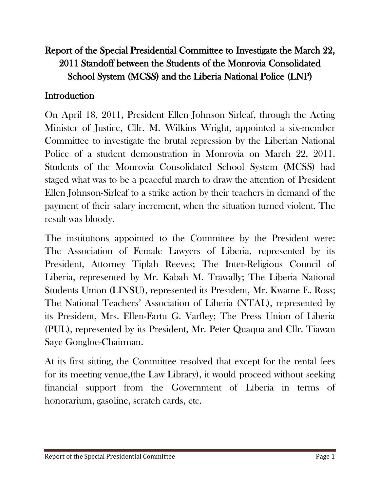# Report of the Special Presidential Committee to Investigate the March 22, 2011 Standoff between the Students of the Monrovia Consolidated School System (MCSS) and the Liberia National Police (LNP)

#### **Introduction**

On April 18, 2011, President Ellen Johnson Sirleaf, through the Acting Minister of Justice, Cllr. M. Wilkins Wright, appointed a six-member Committee to investigate the brutal repression by the Liberian National Police of a student demonstration in Monrovia on March 22, 2011. Students of the Monrovia Consolidated School System (MCSS) had staged what was to be a peaceful march to draw the attention of President Ellen Johnson-Sirleaf to a strike action by their teachers in demand of the payment of their salary increment, when the situation turned violent. The result was bloody.

The institutions appointed to the Committee by the President were: The Association of Female Lawyers of Liberia, represented by its President, Attorney Tiplah Reeves; The Inter-Religious Council of Liberia, represented by Mr. Kabah M. Trawally; The Liberia National Students Union (LINSU), represented its President, Mr. Kwame E. Ross; The National Teachers' Association of Liberia (NTAL), represented by its President, Mrs. Ellen-Fartu G. Varfley; The Press Union of Liberia (PUL), represented by its President, Mr. Peter Quaqua and Cllr. Tiawan Saye Gongloe-Chairman.

At its first sitting, the Committee resolved that except for the rental fees for its meeting venue,(the Law Library), it would proceed without seeking financial support from the Government of Liberia in terms of honorarium, gasoline, scratch cards, etc.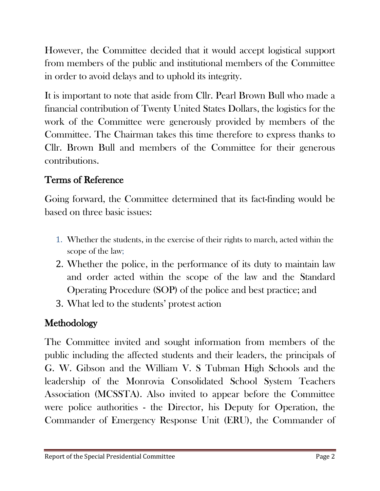However, the Committee decided that it would accept logistical support from members of the public and institutional members of the Committee in order to avoid delays and to uphold its integrity.

It is important to note that aside from Cllr. Pearl Brown Bull who made a financial contribution of Twenty United States Dollars, the logistics for the work of the Committee were generously provided by members of the Committee. The Chairman takes this time therefore to express thanks to Cllr. Brown Bull and members of the Committee for their generous contributions.

# Terms of Reference

Going forward, the Committee determined that its fact-finding would be based on three basic issues:

- 1. Whether the students, in the exercise of their rights to march, acted within the scope of the law;
- 2. Whether the police, in the performance of its duty to maintain law and order acted within the scope of the law and the Standard Operating Procedure (SOP) of the police and best practice; and
- 3. What led to the students' protest action

# Methodology

The Committee invited and sought information from members of the public including the affected students and their leaders, the principals of G. W. Gibson and the William V. S Tubman High Schools and the leadership of the Monrovia Consolidated School System Teachers Association (MCSSTA). Also invited to appear before the Committee were police authorities - the Director, his Deputy for Operation, the Commander of Emergency Response Unit (ERU), the Commander of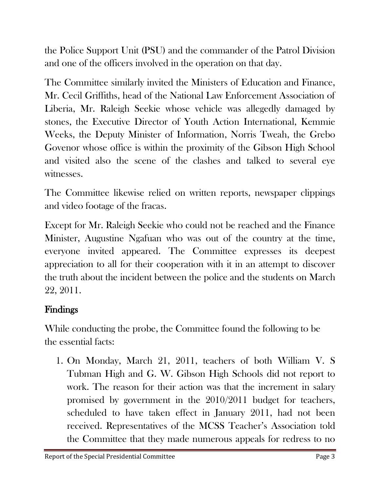the Police Support Unit (PSU) and the commander of the Patrol Division and one of the officers involved in the operation on that day.

The Committee similarly invited the Ministers of Education and Finance, Mr. Cecil Griffiths, head of the National Law Enforcement Association of Liberia, Mr. Raleigh Seekie whose vehicle was allegedly damaged by stones, the Executive Director of Youth Action International, Kemmie Weeks, the Deputy Minister of Information, Norris Tweah, the Grebo Govenor whose office is within the proximity of the Gibson High School and visited also the scene of the clashes and talked to several eye witnesses.

The Committee likewise relied on written reports, newspaper clippings and video footage of the fracas.

Except for Mr. Raleigh Seekie who could not be reached and the Finance Minister, Augustine Ngafuan who was out of the country at the time, everyone invited appeared. The Committee expresses its deepest appreciation to all for their cooperation with it in an attempt to discover the truth about the incident between the police and the students on March 22, 2011.

# Findings

While conducting the probe, the Committee found the following to be the essential facts:

1. On Monday, March 21, 2011, teachers of both William V. S Tubman High and G. W. Gibson High Schools did not report to work. The reason for their action was that the increment in salary promised by government in the 2010/2011 budget for teachers, scheduled to have taken effect in January 2011, had not been received. Representatives of the MCSS Teacher's Association told the Committee that they made numerous appeals for redress to no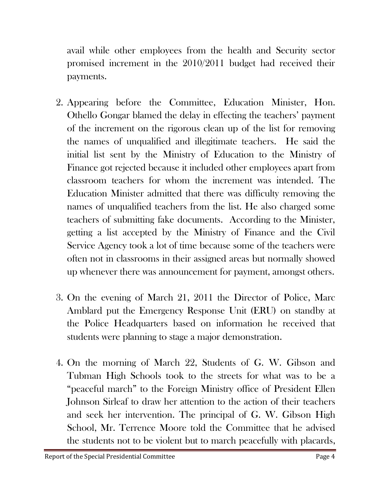avail while other employees from the health and Security sector promised increment in the 2010/2011 budget had received their payments.

- 2. Appearing before the Committee, Education Minister, Hon. Othello Gongar blamed the delay in effecting the teachers' payment of the increment on the rigorous clean up of the list for removing the names of unqualified and illegitimate teachers. He said the initial list sent by the Ministry of Education to the Ministry of Finance got rejected because it included other employees apart from classroom teachers for whom the increment was intended. The Education Minister admitted that there was difficulty removing the names of unqualified teachers from the list. He also charged some teachers of submitting fake documents. According to the Minister, getting a list accepted by the Ministry of Finance and the Civil Service Agency took a lot of time because some of the teachers were often not in classrooms in their assigned areas but normally showed up whenever there was announcement for payment, amongst others.
- 3. On the evening of March 21, 2011 the Director of Police, Marc Amblard put the Emergency Response Unit (ERU) on standby at the Police Headquarters based on information he received that students were planning to stage a major demonstration.
- 4. On the morning of March 22, Students of G. W. Gibson and Tubman High Schools took to the streets for what was to be a "peaceful march" to the Foreign Ministry office of President Ellen Johnson Sirleaf to draw her attention to the action of their teachers and seek her intervention. The principal of G. W. Gibson High School, Mr. Terrence Moore told the Committee that he advised the students not to be violent but to march peacefully with placards,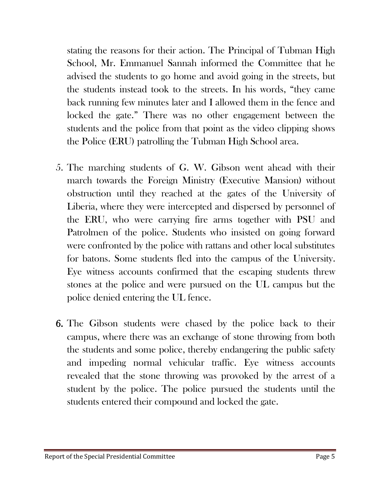stating the reasons for their action. The Principal of Tubman High School, Mr. Emmanuel Sannah informed the Committee that he advised the students to go home and avoid going in the streets, but the students instead took to the streets. In his words, "they came back running few minutes later and I allowed them in the fence and locked the gate." There was no other engagement between the students and the police from that point as the video clipping shows the Police (ERU) patrolling the Tubman High School area.

- 5. The marching students of G. W. Gibson went ahead with their march towards the Foreign Ministry (Executive Mansion) without obstruction until they reached at the gates of the University of Liberia, where they were intercepted and dispersed by personnel of the ERU, who were carrying fire arms together with PSU and Patrolmen of the police. Students who insisted on going forward were confronted by the police with rattans and other local substitutes for batons. Some students fled into the campus of the University. Eye witness accounts confirmed that the escaping students threw stones at the police and were pursued on the UL campus but the police denied entering the UL fence.
- 6. The Gibson students were chased by the police back to their campus, where there was an exchange of stone throwing from both the students and some police, thereby endangering the public safety and impeding normal vehicular traffic. Eye witness accounts revealed that the stone throwing was provoked by the arrest of a student by the police. The police pursued the students until the students entered their compound and locked the gate.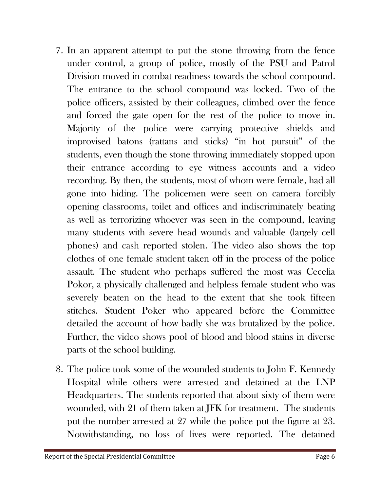- 7. In an apparent attempt to put the stone throwing from the fence under control, a group of police, mostly of the PSU and Patrol Division moved in combat readiness towards the school compound. The entrance to the school compound was locked. Two of the police officers, assisted by their colleagues, climbed over the fence and forced the gate open for the rest of the police to move in. Majority of the police were carrying protective shields and improvised batons (rattans and sticks) "in hot pursuit" of the students, even though the stone throwing immediately stopped upon their entrance according to eye witness accounts and a video recording. By then, the students, most of whom were female, had all gone into hiding. The policemen were seen on camera forcibly opening classrooms, toilet and offices and indiscriminately beating as well as terrorizing whoever was seen in the compound, leaving many students with severe head wounds and valuable (largely cell phones) and cash reported stolen. The video also shows the top clothes of one female student taken off in the process of the police assault. The student who perhaps suffered the most was Cecelia Pokor, a physically challenged and helpless female student who was severely beaten on the head to the extent that she took fifteen stitches. Student Poker who appeared before the Committee detailed the account of how badly she was brutalized by the police. Further, the video shows pool of blood and blood stains in diverse parts of the school building.
- 8. The police took some of the wounded students to John F. Kennedy Hospital while others were arrested and detained at the LNP Headquarters. The students reported that about sixty of them were wounded, with 21 of them taken at JFK for treatment. The students put the number arrested at 27 while the police put the figure at 23. Notwithstanding, no loss of lives were reported. The detained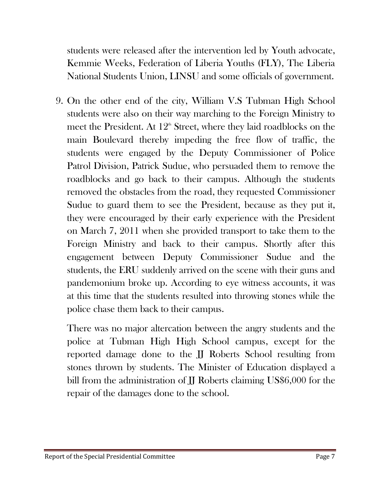students were released after the intervention led by Youth advocate, Kemmie Weeks, Federation of Liberia Youths (FLY), The Liberia National Students Union, LINSU and some officials of government.

9. On the other end of the city, William V.S Tubman High School students were also on their way marching to the Foreign Ministry to meet the President. At  $12<sup>th</sup>$  Street, where they laid roadblocks on the main Boulevard thereby impeding the free flow of traffic, the students were engaged by the Deputy Commissioner of Police Patrol Division, Patrick Sudue, who persuaded them to remove the roadblocks and go back to their campus. Although the students removed the obstacles from the road, they requested Commissioner Sudue to guard them to see the President, because as they put it, they were encouraged by their early experience with the President on March 7, 2011 when she provided transport to take them to the Foreign Ministry and back to their campus. Shortly after this engagement between Deputy Commissioner Sudue and the students, the ERU suddenly arrived on the scene with their guns and pandemonium broke up. According to eye witness accounts, it was at this time that the students resulted into throwing stones while the police chase them back to their campus.

There was no major altercation between the angry students and the police at Tubman High High School campus, except for the reported damage done to the JJ Roberts School resulting from stones thrown by students. The Minister of Education displayed a bill from the administration of **JJ** Roberts claiming US\$6,000 for the repair of the damages done to the school.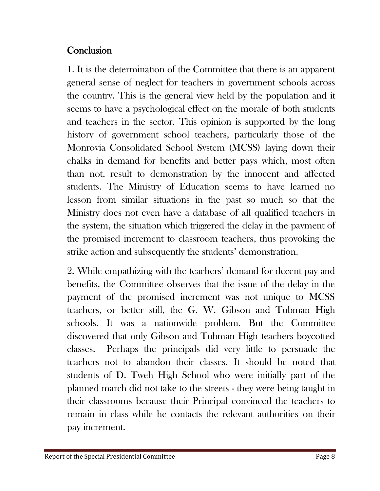### **Conclusion**

1. It is the determination of the Committee that there is an apparent general sense of neglect for teachers in government schools across the country. This is the general view held by the population and it seems to have a psychological effect on the morale of both students and teachers in the sector. This opinion is supported by the long history of government school teachers, particularly those of the Monrovia Consolidated School System (MCSS) laying down their chalks in demand for benefits and better pays which, most often than not, result to demonstration by the innocent and affected students. The Ministry of Education seems to have learned no lesson from similar situations in the past so much so that the Ministry does not even have a database of all qualified teachers in the system, the situation which triggered the delay in the payment of the promised increment to classroom teachers, thus provoking the strike action and subsequently the students' demonstration.

2. While empathizing with the teachers' demand for decent pay and benefits, the Committee observes that the issue of the delay in the payment of the promised increment was not unique to MCSS teachers, or better still, the G. W. Gibson and Tubman High schools. It was a nationwide problem. But the Committee discovered that only Gibson and Tubman High teachers boycotted classes. Perhaps the principals did very little to persuade the teachers not to abandon their classes. It should be noted that students of D. Tweh High School who were initially part of the planned march did not take to the streets - they were being taught in their classrooms because their Principal convinced the teachers to remain in class while he contacts the relevant authorities on their pay increment.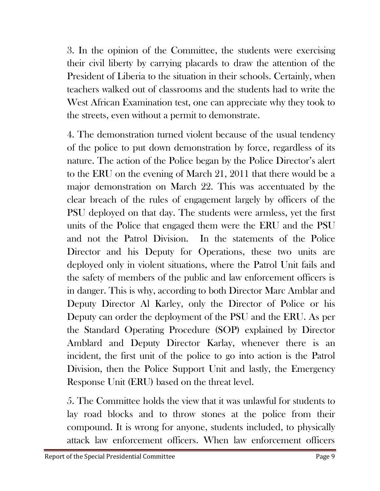3. In the opinion of the Committee, the students were exercising their civil liberty by carrying placards to draw the attention of the President of Liberia to the situation in their schools. Certainly, when teachers walked out of classrooms and the students had to write the West African Examination test, one can appreciate why they took to the streets, even without a permit to demonstrate.

4. The demonstration turned violent because of the usual tendency of the police to put down demonstration by force, regardless of its nature. The action of the Police began by the Police Director's alert to the ERU on the evening of March 21, 2011 that there would be a major demonstration on March 22. This was accentuated by the clear breach of the rules of engagement largely by officers of the PSU deployed on that day. The students were armless, yet the first units of the Police that engaged them were the ERU and the PSU and not the Patrol Division. In the statements of the Police Director and his Deputy for Operations, these two units are deployed only in violent situations, where the Patrol Unit fails and the safety of members of the public and law enforcement officers is in danger. This is why, according to both Director Marc Amblar and Deputy Director Al Karley, only the Director of Police or his Deputy can order the deployment of the PSU and the ERU. As per the Standard Operating Procedure (SOP) explained by Director Amblard and Deputy Director Karlay, whenever there is an incident, the first unit of the police to go into action is the Patrol Division, then the Police Support Unit and lastly, the Emergency Response Unit (ERU) based on the threat level.

5. The Committee holds the view that it was unlawful for students to lay road blocks and to throw stones at the police from their compound. It is wrong for anyone, students included, to physically attack law enforcement officers. When law enforcement officers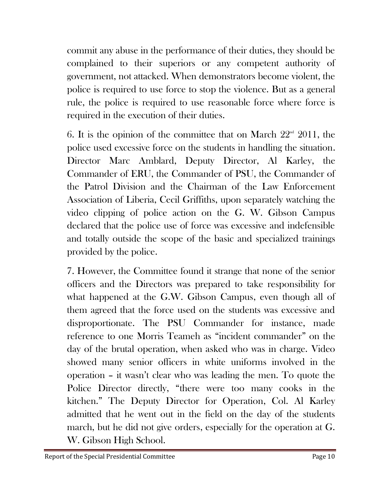commit any abuse in the performance of their duties, they should be complained to their superiors or any competent authority of government, not attacked. When demonstrators become violent, the police is required to use force to stop the violence. But as a general rule, the police is required to use reasonable force where force is required in the execution of their duties.

6. It is the opinion of the committee that on March  $22<sup>nd</sup>$  2011, the police used excessive force on the students in handling the situation. Director Marc Amblard, Deputy Director, Al Karley, the Commander of ERU, the Commander of PSU, the Commander of the Patrol Division and the Chairman of the Law Enforcement Association of Liberia, Cecil Griffiths, upon separately watching the video clipping of police action on the G. W. Gibson Campus declared that the police use of force was excessive and indefensible and totally outside the scope of the basic and specialized trainings provided by the police.

7. However, the Committee found it strange that none of the senior officers and the Directors was prepared to take responsibility for what happened at the G.W. Gibson Campus, even though all of them agreed that the force used on the students was excessive and disproportionate. The PSU Commander for instance, made reference to one Morris Teameh as "incident commander" on the day of the brutal operation, when asked who was in charge. Video showed many senior officers in white uniforms involved in the operation – it wasn't clear who was leading the men. To quote the Police Director directly, "there were too many cooks in the kitchen." The Deputy Director for Operation, Col. Al Karley admitted that he went out in the field on the day of the students march, but he did not give orders, especially for the operation at G. W. Gibson High School.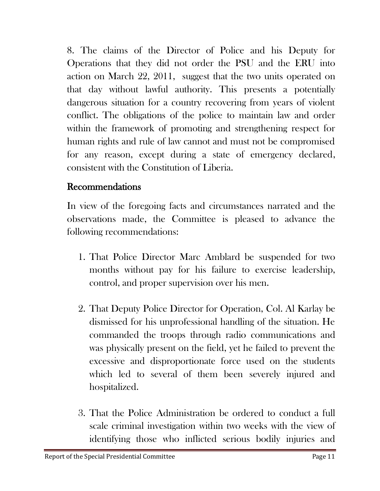8. The claims of the Director of Police and his Deputy for Operations that they did not order the PSU and the ERU into action on March 22, 2011, suggest that the two units operated on that day without lawful authority. This presents a potentially dangerous situation for a country recovering from years of violent conflict. The obligations of the police to maintain law and order within the framework of promoting and strengthening respect for human rights and rule of law cannot and must not be compromised for any reason, except during a state of emergency declared, consistent with the Constitution of Liberia.

### Recommendations

In view of the foregoing facts and circumstances narrated and the observations made, the Committee is pleased to advance the following recommendations:

- 1. That Police Director Marc Amblard be suspended for two months without pay for his failure to exercise leadership, control, and proper supervision over his men.
- 2. That Deputy Police Director for Operation, Col. Al Karlay be dismissed for his unprofessional handling of the situation. He commanded the troops through radio communications and was physically present on the field, yet he failed to prevent the excessive and disproportionate force used on the students which led to several of them been severely injured and hospitalized.
- 3. That the Police Administration be ordered to conduct a full scale criminal investigation within two weeks with the view of identifying those who inflicted serious bodily injuries and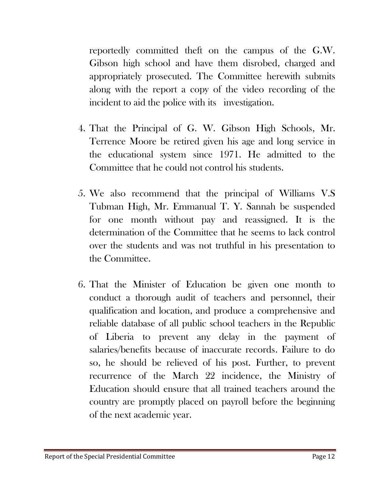reportedly committed theft on the campus of the G.W. Gibson high school and have them disrobed, charged and appropriately prosecuted. The Committee herewith submits along with the report a copy of the video recording of the incident to aid the police with its investigation.

- 4. That the Principal of G. W. Gibson High Schools, Mr. Terrence Moore be retired given his age and long service in the educational system since 1971. He admitted to the Committee that he could not control his students.
- 5. We also recommend that the principal of Williams V.S Tubman High, Mr. Emmanual T. Y. Sannah be suspended for one month without pay and reassigned. It is the determination of the Committee that he seems to lack control over the students and was not truthful in his presentation to the Committee.
- 6. That the Minister of Education be given one month to conduct a thorough audit of teachers and personnel, their qualification and location, and produce a comprehensive and reliable database of all public school teachers in the Republic of Liberia to prevent any delay in the payment of salaries/benefits because of inaccurate records. Failure to do so, he should be relieved of his post. Further, to prevent recurrence of the March 22 incidence, the Ministry of Education should ensure that all trained teachers around the country are promptly placed on payroll before the beginning of the next academic year.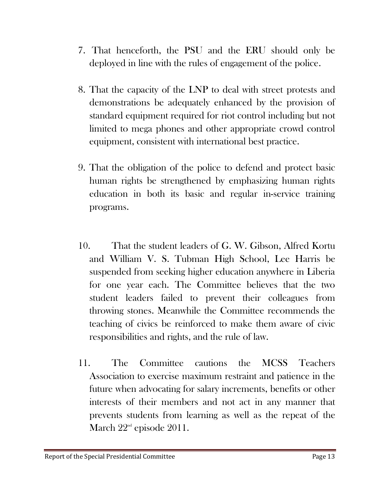- 7. That henceforth, the PSU and the ERU should only be deployed in line with the rules of engagement of the police.
- 8. That the capacity of the LNP to deal with street protests and demonstrations be adequately enhanced by the provision of standard equipment required for riot control including but not limited to mega phones and other appropriate crowd control equipment, consistent with international best practice.
- 9. That the obligation of the police to defend and protect basic human rights be strengthened by emphasizing human rights education in both its basic and regular in-service training programs.
- 10. That the student leaders of G. W. Gibson, Alfred Kortu and William V. S. Tubman High School, Lee Harris be suspended from seeking higher education anywhere in Liberia for one year each. The Committee believes that the two student leaders failed to prevent their colleagues from throwing stones. Meanwhile the Committee recommends the teaching of civics be reinforced to make them aware of civic responsibilities and rights, and the rule of law.
- 11. The Committee cautions the MCSS Teachers Association to exercise maximum restraint and patience in the future when advocating for salary increments, benefits or other interests of their members and not act in any manner that prevents students from learning as well as the repeat of the March  $22^{\text{nd}}$  episode  $2011$ .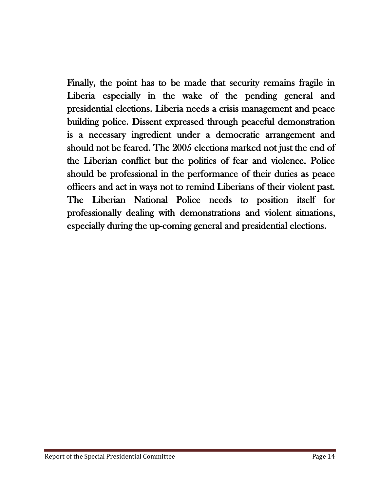Finally, the point has to be made that security remains fragile in Liberia especially in the wake of the pending general and presidential elections. Liberia needs a crisis management and peace building police. Dissent expressed through peaceful demonstration is a necessary ingredient under a democratic arrangement and should not be feared. The 2005 elections marked not just the end of the Liberian conflict but the politics of fear and violence. Police should be professional in the performance of their duties as peace officers and act in ways not to remind Liberians of their violent past. The Liberian National Police needs to position itself for professionally dealing with demonstrations and violent situations, especially during the up-coming general and presidential elections.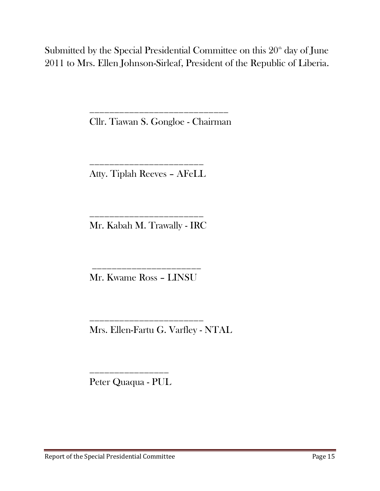Submitted by the Special Presidential Committee on this  $20<sup>th</sup>$  day of June 2011 to Mrs. Ellen Johnson-Sirleaf, President of the Republic of Liberia.

Cllr. Tiawan S. Gongloe - Chairman

\_\_\_\_\_\_\_\_\_\_\_\_\_\_\_\_\_\_\_\_\_\_\_\_\_\_\_\_

\_\_\_\_\_\_\_\_\_\_\_\_\_\_\_\_\_\_\_\_\_\_\_ Atty. Tiplah Reeves – AFeLL

\_\_\_\_\_\_\_\_\_\_\_\_\_\_\_\_\_\_\_\_\_\_\_ Mr. Kabah M. Trawally - IRC

Mr. Kwame Ross – LINSU

\_\_\_\_\_\_\_\_\_\_\_\_\_\_\_\_\_\_\_\_\_\_\_

\_\_\_\_\_\_\_\_\_\_\_\_\_\_\_\_\_\_\_\_\_\_

Mrs. Ellen-Fartu G. Varfley - NTAL

Peter Quaqua - PUL

\_\_\_\_\_\_\_\_\_\_\_\_\_\_\_\_

Report of the Special Presidential Committee Page 15